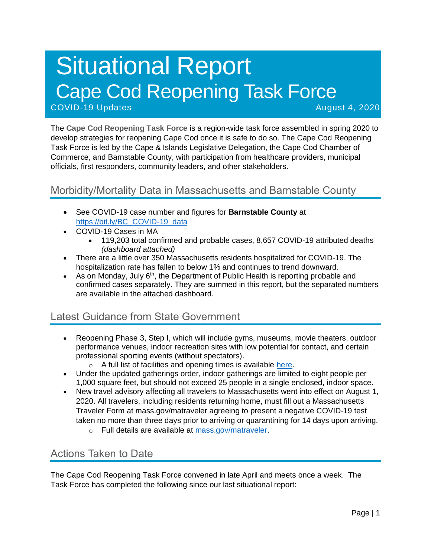# Situational Report Cape Cod Reopening Task Force COVID-19 Updates August 4, 2020

The **Cape Cod Reopening Task Force** is a region-wide task force assembled in spring 2020 to develop strategies for reopening Cape Cod once it is safe to do so. The Cape Cod Reopening Task Force is led by the Cape & Islands Legislative Delegation, the Cape Cod Chamber of Commerce, and Barnstable County, with participation from healthcare providers, municipal officials, first responders, community leaders, and other stakeholders.

# Morbidity/Mortality Data in Massachusetts and Barnstable County

- See COVID-19 case number and figures for **Barnstable County** at [https://bit.ly/BC\\_COVID-19\\_data](https://bit.ly/BC_COVID-19_data)
- COVID-19 Cases in MA
	- 119,203 total confirmed and probable cases, 8,657 COVID-19 attributed deaths *(dashboard attached)*
- There are a little over 350 Massachusetts residents hospitalized for COVID-19. The hospitalization rate has fallen to below 1% and continues to trend downward.
- As on Monday, July  $6<sup>th</sup>$ , the Department of Public Health is reporting probable and confirmed cases separately. They are summed in this report, but the separated numbers are available in the attached dashboard.

### Latest Guidance from State Government

- Reopening Phase 3, Step I, which will include gyms, museums, movie theaters, outdoor performance venues, indoor recreation sites with low potential for contact, and certain professional sporting events (without spectators).
	- $\circ$  A full list of facilities and opening times is available [here.](https://www.mass.gov/info-details/reopening-when-can-my-business-reopen)
- Under the updated gatherings order, indoor gatherings are limited to eight people per 1,000 square feet, but should not exceed 25 people in a single enclosed, indoor space.
- New travel advisory affecting all travelers to Massachusetts went into effect on August 1, 2020. All travelers, including residents returning home, must fill out a Massachusetts Traveler Form at mass.gov/matraveler agreeing to present a negative COVID-19 test taken no more than three days prior to arriving or quarantining for 14 days upon arriving.
	- o Full details are available at [mass.gov/matraveler.](http://mass.gov/matraveler)

# Actions Taken to Date

The Cape Cod Reopening Task Force convened in late April and meets once a week. The Task Force has completed the following since our last situational report: